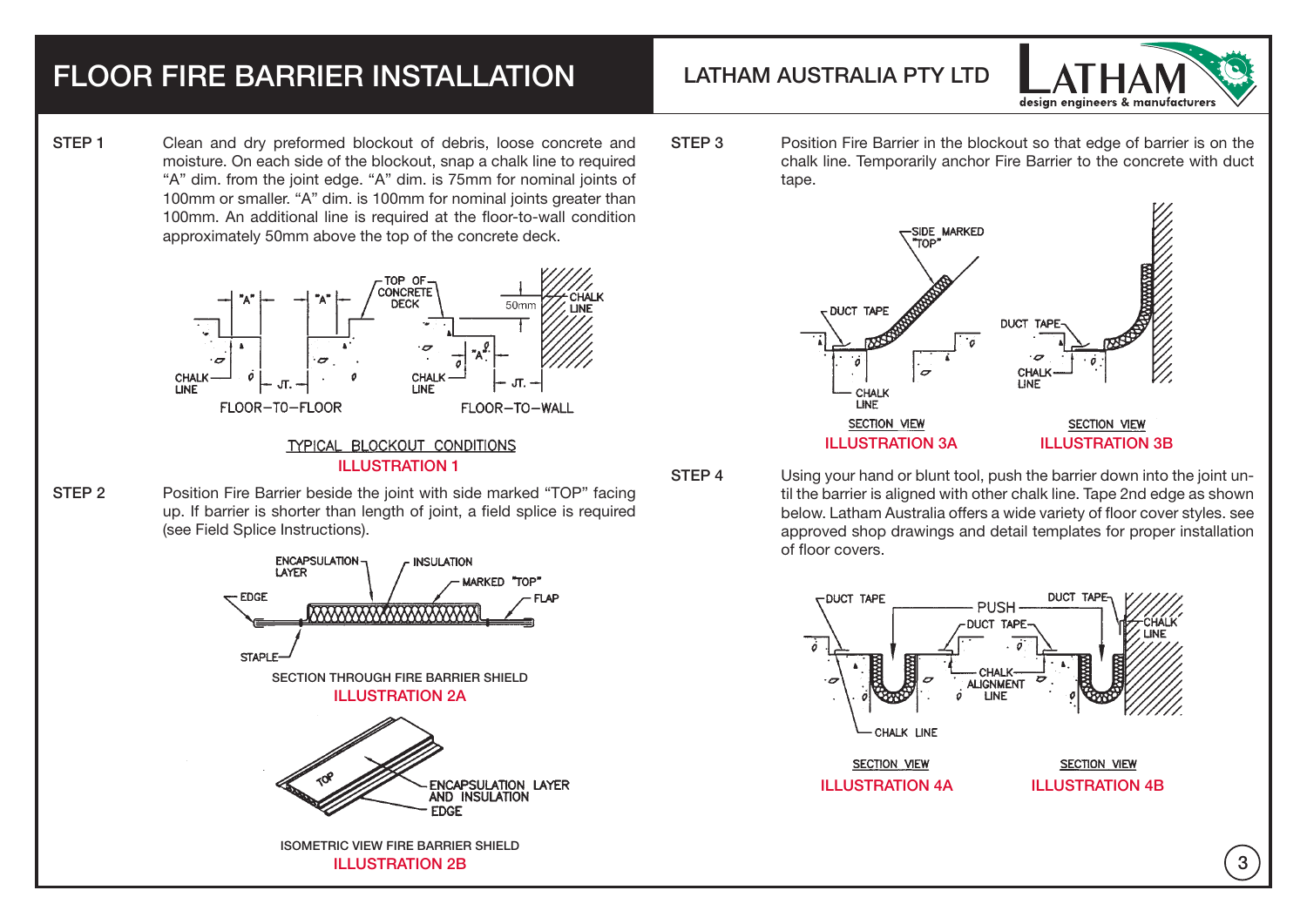## FLOOR FIRE BARRIER INSTALLATION LATHAM AUSTRALIA PTY LTD

STEP 1 Clean and dry preformed blockout of debris, loose concrete and moisture. On each side of the blockout, snap a chalk line to required "A" dim. from the joint edge. "A" dim. is 75mm for nominal joints of 100mm or smaller. "A" dim. is 100mm for nominal joints greater than 100mm. An additional line is required at the floor-to-wall condition approximately 50mm above the top of the concrete deck.



## TYPICAL BLOCKOUT CONDITIONS ILLUSTRATION 1

STEP 2 Position Fire Barrier beside the joint with side marked "TOP" facing up. If barrier is shorter than length of joint, a field splice is required (see Field Splice Instructions).





STEP 3 Position Fire Barrier in the blockout so that edge of barrier is on the chalk line. Temporarily anchor Fire Barrier to the concrete with duct tape.



STEP 4 Using your hand or blunt tool, push the barrier down into the joint until the barrier is aligned with other chalk line. Tape 2nd edge as shown below. Latham Australia offers a wide variety of floor cover styles. see approved shop drawings and detail templates for proper installation of floor covers.



3